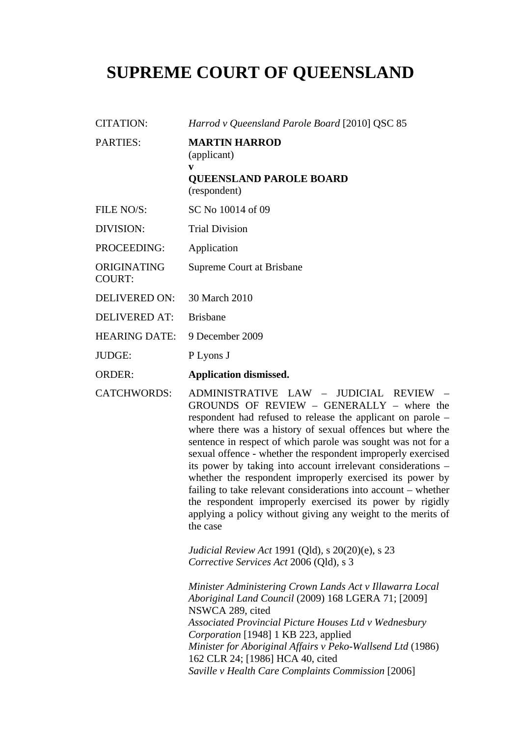# **SUPREME COURT OF QUEENSLAND**

- CITATION: *Harrod v Queensland Parole Board* [2010] QSC 85 PARTIES: **MARTIN HARROD**  (applicant) **v QUEENSLAND PAROLE BOARD**  (respondent) FILE NO/S: SC No 10014 of 09 DIVISION: Trial Division PROCEEDING: Application ORIGINATING COURT: Supreme Court at Brisbane DELIVERED ON: 30 March 2010 DELIVERED AT: Brisbane HEARING DATE: 9 December 2009 JUDGE: P Lyons J ORDER: **Application dismissed.**  CATCHWORDS: ADMINISTRATIVE LAW – JUDICIAL REVIEW –
	- GROUNDS OF REVIEW GENERALLY where the respondent had refused to release the applicant on parole – where there was a history of sexual offences but where the sentence in respect of which parole was sought was not for a sexual offence - whether the respondent improperly exercised its power by taking into account irrelevant considerations – whether the respondent improperly exercised its power by failing to take relevant considerations into account – whether the respondent improperly exercised its power by rigidly applying a policy without giving any weight to the merits of the case

*Judicial Review Act* 1991 (Qld)*,* s 20(20)(e), s 23 *Corrective Services Act* 2006 (Qld)*,* s 3

*Minister Administering Crown Lands Act v Illawarra Local Aboriginal Land Council* (2009) 168 LGERA 71; [2009] NSWCA 289, cited *Associated Provincial Picture Houses Ltd v Wednesbury Corporation* [1948] 1 KB 223, applied *Minister for Aboriginal Affairs v Peko-Wallsend Ltd* (1986) 162 CLR 24; [1986] HCA 40, cited *Saville v Health Care Complaints Commission* [2006]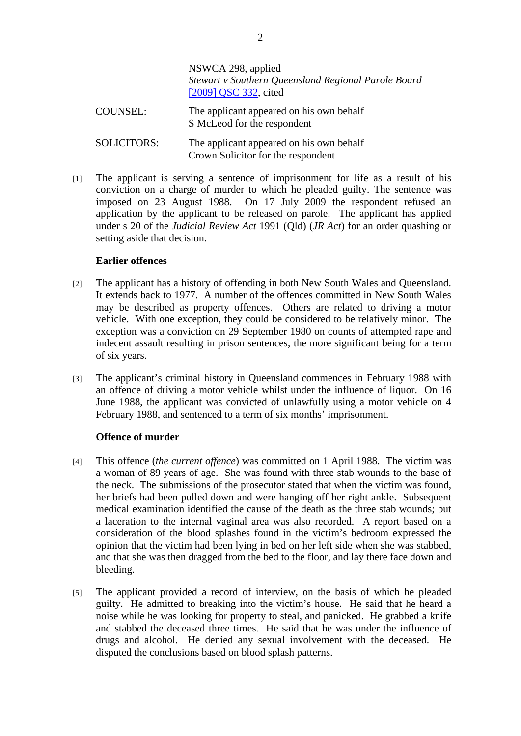|                    | NSWCA 298, applied<br>Stewart v Southern Queensland Regional Parole Board<br>[2009] QSC 332, cited |
|--------------------|----------------------------------------------------------------------------------------------------|
| <b>COUNSEL:</b>    | The applicant appeared on his own behalf<br>S McLeod for the respondent                            |
| <b>SOLICITORS:</b> | The applicant appeared on his own behalf<br>Crown Solicitor for the respondent                     |

[1] The applicant is serving a sentence of imprisonment for life as a result of his conviction on a charge of murder to which he pleaded guilty. The sentence was imposed on 23 August 1988. On 17 July 2009 the respondent refused an application by the applicant to be released on parole. The applicant has applied under s 20 of the *Judicial Review Act* 1991 (Qld) (*JR Act*) for an order quashing or setting aside that decision.

# **Earlier offences**

- [2] The applicant has a history of offending in both New South Wales and Queensland. It extends back to 1977. A number of the offences committed in New South Wales may be described as property offences. Others are related to driving a motor vehicle. With one exception, they could be considered to be relatively minor. The exception was a conviction on 29 September 1980 on counts of attempted rape and indecent assault resulting in prison sentences, the more significant being for a term of six years.
- [3] The applicant's criminal history in Queensland commences in February 1988 with an offence of driving a motor vehicle whilst under the influence of liquor. On 16 June 1988, the applicant was convicted of unlawfully using a motor vehicle on 4 February 1988, and sentenced to a term of six months' imprisonment.

# **Offence of murder**

- [4] This offence (*the current offence*) was committed on 1 April 1988. The victim was a woman of 89 years of age. She was found with three stab wounds to the base of the neck. The submissions of the prosecutor stated that when the victim was found, her briefs had been pulled down and were hanging off her right ankle. Subsequent medical examination identified the cause of the death as the three stab wounds; but a laceration to the internal vaginal area was also recorded. A report based on a consideration of the blood splashes found in the victim's bedroom expressed the opinion that the victim had been lying in bed on her left side when she was stabbed, and that she was then dragged from the bed to the floor, and lay there face down and bleeding.
- [5] The applicant provided a record of interview, on the basis of which he pleaded guilty. He admitted to breaking into the victim's house. He said that he heard a noise while he was looking for property to steal, and panicked. He grabbed a knife and stabbed the deceased three times. He said that he was under the influence of drugs and alcohol. He denied any sexual involvement with the deceased. He disputed the conclusions based on blood splash patterns.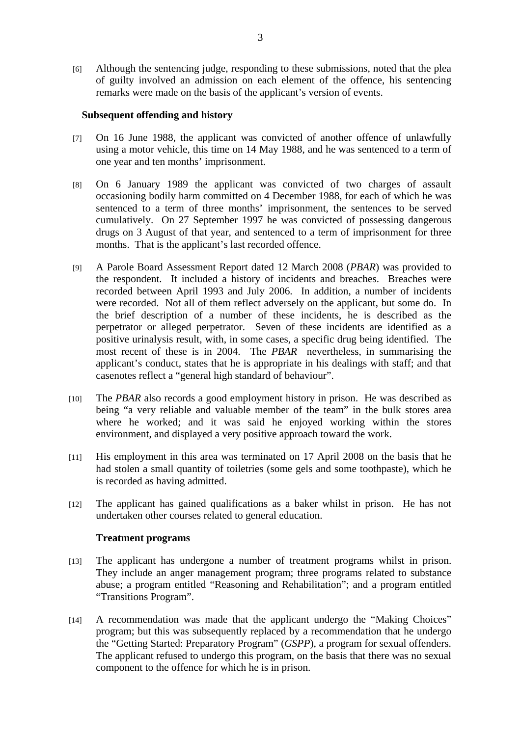[6] Although the sentencing judge, responding to these submissions, noted that the plea of guilty involved an admission on each element of the offence, his sentencing remarks were made on the basis of the applicant's version of events.

### **Subsequent offending and history**

- [7] On 16 June 1988, the applicant was convicted of another offence of unlawfully using a motor vehicle, this time on 14 May 1988, and he was sentenced to a term of one year and ten months' imprisonment.
- [8] On 6 January 1989 the applicant was convicted of two charges of assault occasioning bodily harm committed on 4 December 1988, for each of which he was sentenced to a term of three months' imprisonment, the sentences to be served cumulatively. On 27 September 1997 he was convicted of possessing dangerous drugs on 3 August of that year, and sentenced to a term of imprisonment for three months. That is the applicant's last recorded offence.
- [9] A Parole Board Assessment Report dated 12 March 2008 (*PBAR*) was provided to the respondent. It included a history of incidents and breaches. Breaches were recorded between April 1993 and July 2006. In addition, a number of incidents were recorded. Not all of them reflect adversely on the applicant, but some do. In the brief description of a number of these incidents, he is described as the perpetrator or alleged perpetrator. Seven of these incidents are identified as a positive urinalysis result, with, in some cases, a specific drug being identified. The most recent of these is in 2004. The *PBAR* nevertheless, in summarising the applicant's conduct, states that he is appropriate in his dealings with staff; and that casenotes reflect a "general high standard of behaviour".
- [10] The *PBAR* also records a good employment history in prison. He was described as being "a very reliable and valuable member of the team" in the bulk stores area where he worked; and it was said he enjoyed working within the stores environment, and displayed a very positive approach toward the work.
- [11] His employment in this area was terminated on 17 April 2008 on the basis that he had stolen a small quantity of toiletries (some gels and some toothpaste), which he is recorded as having admitted.
- [12] The applicant has gained qualifications as a baker whilst in prison. He has not undertaken other courses related to general education.

# **Treatment programs**

- [13] The applicant has undergone a number of treatment programs whilst in prison. They include an anger management program; three programs related to substance abuse; a program entitled "Reasoning and Rehabilitation"; and a program entitled "Transitions Program".
- [14] A recommendation was made that the applicant undergo the "Making Choices" program; but this was subsequently replaced by a recommendation that he undergo the "Getting Started: Preparatory Program" (*GSPP*), a program for sexual offenders. The applicant refused to undergo this program, on the basis that there was no sexual component to the offence for which he is in prison.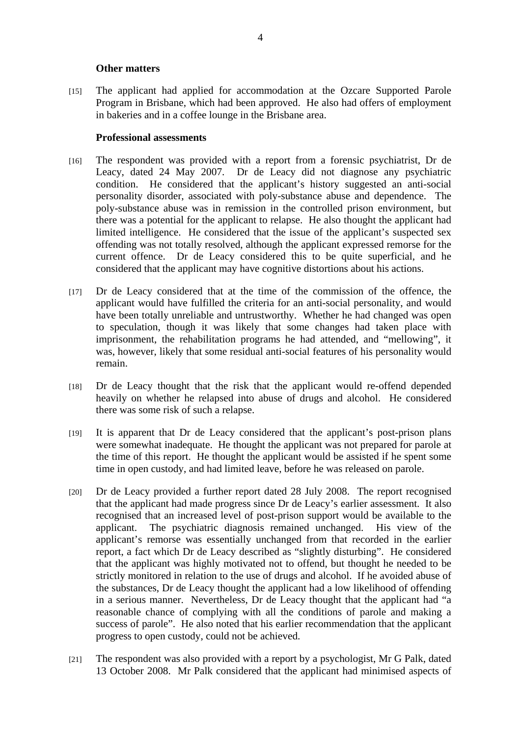#### **Other matters**

[15] The applicant had applied for accommodation at the Ozcare Supported Parole Program in Brisbane, which had been approved. He also had offers of employment in bakeries and in a coffee lounge in the Brisbane area.

### **Professional assessments**

- [16] The respondent was provided with a report from a forensic psychiatrist, Dr de Leacy, dated 24 May 2007. Dr de Leacy did not diagnose any psychiatric condition. He considered that the applicant's history suggested an anti-social personality disorder, associated with poly-substance abuse and dependence. The poly-substance abuse was in remission in the controlled prison environment, but there was a potential for the applicant to relapse. He also thought the applicant had limited intelligence. He considered that the issue of the applicant's suspected sex offending was not totally resolved, although the applicant expressed remorse for the current offence. Dr de Leacy considered this to be quite superficial, and he considered that the applicant may have cognitive distortions about his actions.
- [17] Dr de Leacy considered that at the time of the commission of the offence, the applicant would have fulfilled the criteria for an anti-social personality, and would have been totally unreliable and untrustworthy. Whether he had changed was open to speculation, though it was likely that some changes had taken place with imprisonment, the rehabilitation programs he had attended, and "mellowing", it was, however, likely that some residual anti-social features of his personality would remain.
- [18] Dr de Leacy thought that the risk that the applicant would re-offend depended heavily on whether he relapsed into abuse of drugs and alcohol. He considered there was some risk of such a relapse.
- [19] It is apparent that Dr de Leacy considered that the applicant's post-prison plans were somewhat inadequate. He thought the applicant was not prepared for parole at the time of this report. He thought the applicant would be assisted if he spent some time in open custody, and had limited leave, before he was released on parole.
- [20] Dr de Leacy provided a further report dated 28 July 2008. The report recognised that the applicant had made progress since Dr de Leacy's earlier assessment. It also recognised that an increased level of post-prison support would be available to the applicant. The psychiatric diagnosis remained unchanged. His view of the applicant's remorse was essentially unchanged from that recorded in the earlier report, a fact which Dr de Leacy described as "slightly disturbing". He considered that the applicant was highly motivated not to offend, but thought he needed to be strictly monitored in relation to the use of drugs and alcohol. If he avoided abuse of the substances, Dr de Leacy thought the applicant had a low likelihood of offending in a serious manner. Nevertheless, Dr de Leacy thought that the applicant had "a reasonable chance of complying with all the conditions of parole and making a success of parole". He also noted that his earlier recommendation that the applicant progress to open custody, could not be achieved.
- [21] The respondent was also provided with a report by a psychologist, Mr G Palk, dated 13 October 2008. Mr Palk considered that the applicant had minimised aspects of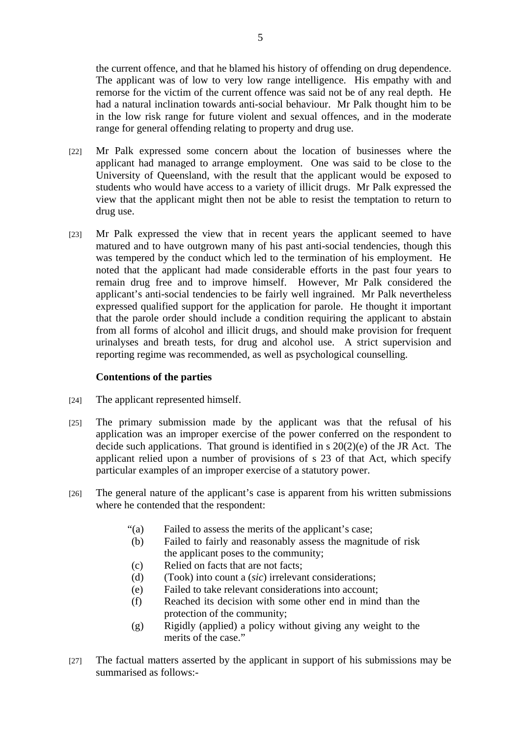the current offence, and that he blamed his history of offending on drug dependence. The applicant was of low to very low range intelligence. His empathy with and remorse for the victim of the current offence was said not be of any real depth. He had a natural inclination towards anti-social behaviour. Mr Palk thought him to be in the low risk range for future violent and sexual offences, and in the moderate range for general offending relating to property and drug use.

- [22] Mr Palk expressed some concern about the location of businesses where the applicant had managed to arrange employment. One was said to be close to the University of Queensland, with the result that the applicant would be exposed to students who would have access to a variety of illicit drugs. Mr Palk expressed the view that the applicant might then not be able to resist the temptation to return to drug use.
- [23] Mr Palk expressed the view that in recent years the applicant seemed to have matured and to have outgrown many of his past anti-social tendencies, though this was tempered by the conduct which led to the termination of his employment. He noted that the applicant had made considerable efforts in the past four years to remain drug free and to improve himself. However, Mr Palk considered the applicant's anti-social tendencies to be fairly well ingrained. Mr Palk nevertheless expressed qualified support for the application for parole. He thought it important that the parole order should include a condition requiring the applicant to abstain from all forms of alcohol and illicit drugs, and should make provision for frequent urinalyses and breath tests, for drug and alcohol use. A strict supervision and reporting regime was recommended, as well as psychological counselling.

# **Contentions of the parties**

- [24] The applicant represented himself.
- [25] The primary submission made by the applicant was that the refusal of his application was an improper exercise of the power conferred on the respondent to decide such applications. That ground is identified in s 20(2)(e) of the JR Act. The applicant relied upon a number of provisions of s 23 of that Act, which specify particular examples of an improper exercise of a statutory power.
- [26] The general nature of the applicant's case is apparent from his written submissions where he contended that the respondent:
	- "(a) Failed to assess the merits of the applicant's case;
	- (b) Failed to fairly and reasonably assess the magnitude of risk the applicant poses to the community;
	- (c) Relied on facts that are not facts;
	- (d) (Took) into count a (*sic*) irrelevant considerations;
	- (e) Failed to take relevant considerations into account;
	- (f) Reached its decision with some other end in mind than the protection of the community;
	- (g) Rigidly (applied) a policy without giving any weight to the merits of the case."
- [27] The factual matters asserted by the applicant in support of his submissions may be summarised as follows:-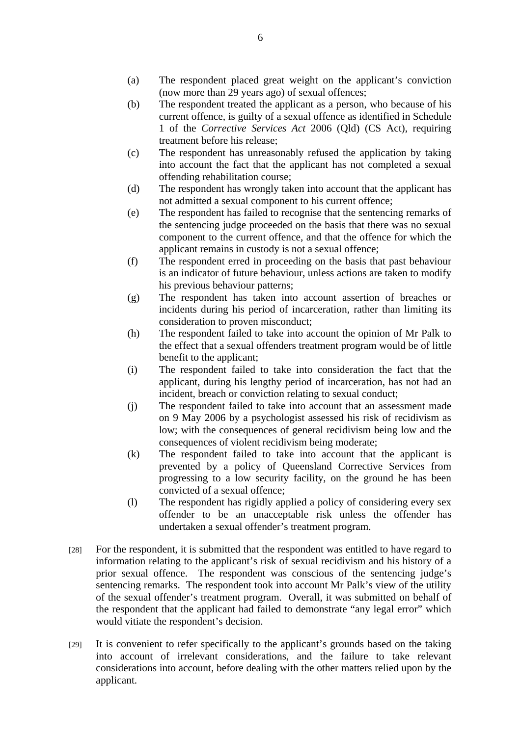- (a) The respondent placed great weight on the applicant's conviction (now more than 29 years ago) of sexual offences;
- (b) The respondent treated the applicant as a person, who because of his current offence, is guilty of a sexual offence as identified in Schedule 1 of the *Corrective Services Act* 2006 (Qld) (CS Act), requiring treatment before his release;
- (c) The respondent has unreasonably refused the application by taking into account the fact that the applicant has not completed a sexual offending rehabilitation course;
- (d) The respondent has wrongly taken into account that the applicant has not admitted a sexual component to his current offence;
- (e) The respondent has failed to recognise that the sentencing remarks of the sentencing judge proceeded on the basis that there was no sexual component to the current offence, and that the offence for which the applicant remains in custody is not a sexual offence;
- (f) The respondent erred in proceeding on the basis that past behaviour is an indicator of future behaviour, unless actions are taken to modify his previous behaviour patterns;
- (g) The respondent has taken into account assertion of breaches or incidents during his period of incarceration, rather than limiting its consideration to proven misconduct;
- (h) The respondent failed to take into account the opinion of Mr Palk to the effect that a sexual offenders treatment program would be of little benefit to the applicant;
- (i) The respondent failed to take into consideration the fact that the applicant, during his lengthy period of incarceration, has not had an incident, breach or conviction relating to sexual conduct;
- (j) The respondent failed to take into account that an assessment made on 9 May 2006 by a psychologist assessed his risk of recidivism as low; with the consequences of general recidivism being low and the consequences of violent recidivism being moderate;
- (k) The respondent failed to take into account that the applicant is prevented by a policy of Queensland Corrective Services from progressing to a low security facility, on the ground he has been convicted of a sexual offence;
- (l) The respondent has rigidly applied a policy of considering every sex offender to be an unacceptable risk unless the offender has undertaken a sexual offender's treatment program.
- [28] For the respondent, it is submitted that the respondent was entitled to have regard to information relating to the applicant's risk of sexual recidivism and his history of a prior sexual offence. The respondent was conscious of the sentencing judge's sentencing remarks. The respondent took into account Mr Palk's view of the utility of the sexual offender's treatment program. Overall, it was submitted on behalf of the respondent that the applicant had failed to demonstrate "any legal error" which would vitiate the respondent's decision.
- [29] It is convenient to refer specifically to the applicant's grounds based on the taking into account of irrelevant considerations, and the failure to take relevant considerations into account, before dealing with the other matters relied upon by the applicant.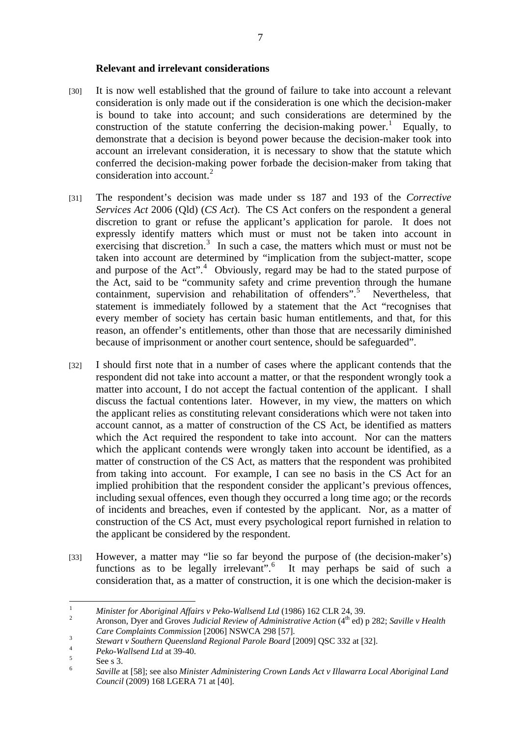#### **Relevant and irrelevant considerations**

- [30] It is now well established that the ground of failure to take into account a relevant consideration is only made out if the consideration is one which the decision-maker is bound to take into account; and such considerations are determined by the construction of the statute conferring the decision-making power.<sup>1</sup> Equally, to demonstrate that a decision is beyond power because the decision-maker took into account an irrelevant consideration, it is necessary to show that the statute which conferred the decision-making power forbade the decision-maker from taking that consideration into account. $2$
- [31] The respondent's decision was made under ss 187 and 193 of the *Corrective Services Act* 2006 (Qld) (*CS Act*). The CS Act confers on the respondent a general discretion to grant or refuse the applicant's application for parole. It does not expressly identify matters which must or must not be taken into account in exercising that discretion.<sup>3</sup> In such a case, the matters which must or must not be taken into account are determined by "implication from the subject-matter, scope and purpose of the Act".<sup>4</sup> Obviously, regard may be had to the stated purpose of the Act, said to be "community safety and crime prevention through the humane containment, supervision and rehabilitation of offenders".<sup>5</sup> Nevertheless, that statement is immediately followed by a statement that the Act "recognises that every member of society has certain basic human entitlements, and that, for this reason, an offender's entitlements, other than those that are necessarily diminished because of imprisonment or another court sentence, should be safeguarded".
- [32] I should first note that in a number of cases where the applicant contends that the respondent did not take into account a matter, or that the respondent wrongly took a matter into account, I do not accept the factual contention of the applicant. I shall discuss the factual contentions later. However, in my view, the matters on which the applicant relies as constituting relevant considerations which were not taken into account cannot, as a matter of construction of the CS Act, be identified as matters which the Act required the respondent to take into account. Nor can the matters which the applicant contends were wrongly taken into account be identified, as a matter of construction of the CS Act, as matters that the respondent was prohibited from taking into account. For example, I can see no basis in the CS Act for an implied prohibition that the respondent consider the applicant's previous offences, including sexual offences, even though they occurred a long time ago; or the records of incidents and breaches, even if contested by the applicant. Nor, as a matter of construction of the CS Act, must every psychological report furnished in relation to the applicant be considered by the respondent.
- [33] However, a matter may "lie so far beyond the purpose of (the decision-maker's) functions as to be legally irrelevant".<sup>6</sup> It may perhaps be said of such a consideration that, as a matter of construction, it is one which the decision-maker is

 $\overline{a}$ 1 *Minister for Aboriginal Affairs v Peko-Wallsend Ltd* (1986) 162 CLR 24, 39.<br>
Aggregate Diversed Graves Juditial Business 6.4 division time of this (4<sup>th</sup> ed)

Aronson, Dyer and Groves Judicial Review of Administrative Action (4<sup>th</sup> ed) p 282; Saville v Health *Care Complaints Commission* [2006] NSWCA 298 [57]. 3

*Stewart v Southern Queensland Regional Parole Board* [2009] QSC 332 at [32]. 4

*Peko-Wallsend Ltd* at 39-40. 5

See s 3.

<sup>6</sup> *Saville* at [58]; see also *Minister Administering Crown Lands Act v Illawarra Local Aboriginal Land Council* (2009) 168 LGERA 71 at [40].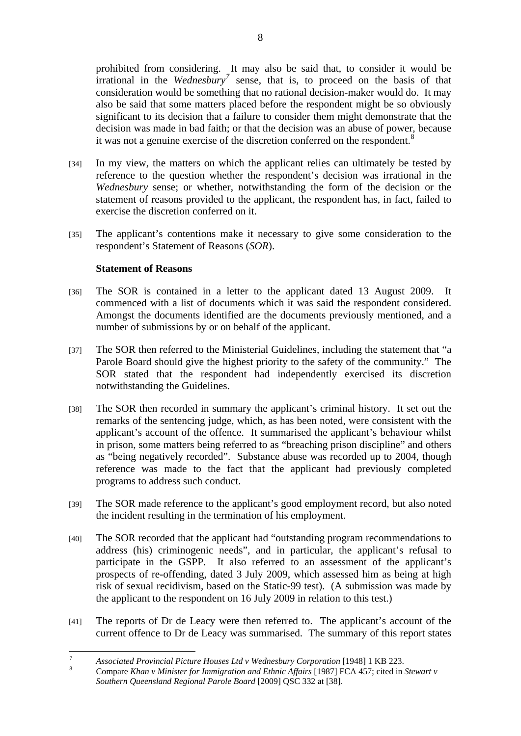prohibited from considering. It may also be said that, to consider it would be irrational in the *Wednesbury<sup>7</sup>* sense, that is, to proceed on the basis of that consideration would be something that no rational decision-maker would do. It may also be said that some matters placed before the respondent might be so obviously significant to its decision that a failure to consider them might demonstrate that the decision was made in bad faith; or that the decision was an abuse of power, because it was not a genuine exercise of the discretion conferred on the respondent.<sup>8</sup>

- [34] In my view, the matters on which the applicant relies can ultimately be tested by reference to the question whether the respondent's decision was irrational in the *Wednesbury* sense; or whether, notwithstanding the form of the decision or the statement of reasons provided to the applicant, the respondent has, in fact, failed to exercise the discretion conferred on it.
- [35] The applicant's contentions make it necessary to give some consideration to the respondent's Statement of Reasons (*SOR*).

# **Statement of Reasons**

- [36] The SOR is contained in a letter to the applicant dated 13 August 2009. It commenced with a list of documents which it was said the respondent considered. Amongst the documents identified are the documents previously mentioned, and a number of submissions by or on behalf of the applicant.
- [37] The SOR then referred to the Ministerial Guidelines, including the statement that "a Parole Board should give the highest priority to the safety of the community." The SOR stated that the respondent had independently exercised its discretion notwithstanding the Guidelines.
- [38] The SOR then recorded in summary the applicant's criminal history. It set out the remarks of the sentencing judge, which, as has been noted, were consistent with the applicant's account of the offence. It summarised the applicant's behaviour whilst in prison, some matters being referred to as "breaching prison discipline" and others as "being negatively recorded". Substance abuse was recorded up to 2004, though reference was made to the fact that the applicant had previously completed programs to address such conduct.
- [39] The SOR made reference to the applicant's good employment record, but also noted the incident resulting in the termination of his employment.
- [40] The SOR recorded that the applicant had "outstanding program recommendations to address (his) criminogenic needs", and in particular, the applicant's refusal to participate in the GSPP. It also referred to an assessment of the applicant's prospects of re-offending, dated 3 July 2009, which assessed him as being at high risk of sexual recidivism, based on the Static-99 test). (A submission was made by the applicant to the respondent on 16 July 2009 in relation to this test.)
- [41] The reports of Dr de Leacy were then referred to. The applicant's account of the current offence to Dr de Leacy was summarised. The summary of this report states

<sup>&</sup>lt;sup>-</sup> *Associated Provincial Picture Houses Ltd v Wednesbury Corporation* [1948] 1 KB 223.

Compare *Khan v Minister for Immigration and Ethnic Affairs* [1987] FCA 457; cited in *Stewart v Southern Queensland Regional Parole Board* [2009] QSC 332 at [38].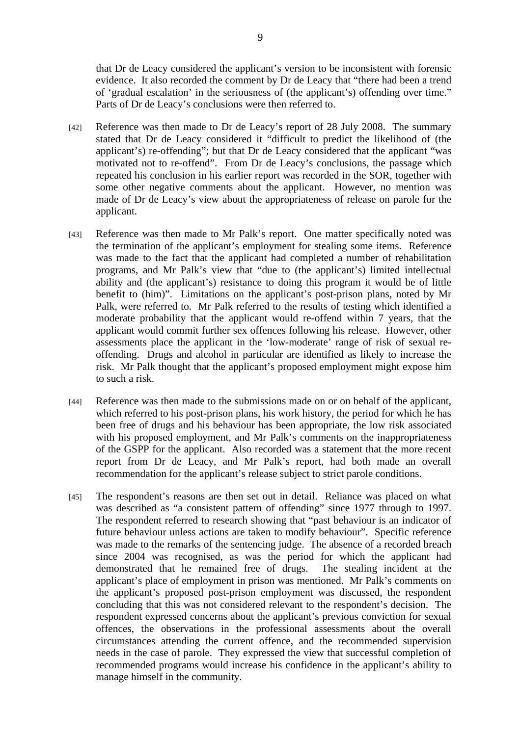that Dr de Leacy considered the applicant's version to be inconsistent with forensic evidence. It also recorded the comment by Dr de Leacy that "there had been a trend of 'gradual escalation' in the seriousness of (the applicant's) offending over time." Parts of Dr de Leacy's conclusions were then referred to.

- [42] Reference was then made to Dr de Leacy's report of 28 July 2008. The summary stated that Dr de Leacy considered it "difficult to predict the likelihood of (the applicant's) re-offending"; but that Dr de Leacy considered that the applicant "was motivated not to re-offend". From Dr de Leacy's conclusions, the passage which repeated his conclusion in his earlier report was recorded in the SOR, together with some other negative comments about the applicant. However, no mention was made of Dr de Leacy's view about the appropriateness of release on parole for the applicant.
- [43] Reference was then made to Mr Palk's report. One matter specifically noted was the termination of the applicant's employment for stealing some items. Reference was made to the fact that the applicant had completed a number of rehabilitation programs, and Mr Palk's view that "due to (the applicant's) limited intellectual ability and (the applicant's) resistance to doing this program it would be of little benefit to (him)". Limitations on the applicant's post-prison plans, noted by Mr Palk, were referred to. Mr Palk referred to the results of testing which identified a moderate probability that the applicant would re-offend within 7 years, that the applicant would commit further sex offences following his release. However, other assessments place the applicant in the 'low-moderate' range of risk of sexual reoffending. Drugs and alcohol in particular are identified as likely to increase the risk. Mr Palk thought that the applicant's proposed employment might expose him to such a risk.
- [44] Reference was then made to the submissions made on or on behalf of the applicant, which referred to his post-prison plans, his work history, the period for which he has been free of drugs and his behaviour has been appropriate, the low risk associated with his proposed employment, and Mr Palk's comments on the inappropriateness of the GSPP for the applicant. Also recorded was a statement that the more recent report from Dr de Leacy, and Mr Palk's report, had both made an overall recommendation for the applicant's release subject to strict parole conditions.
- [45] The respondent's reasons are then set out in detail. Reliance was placed on what was described as "a consistent pattern of offending" since 1977 through to 1997. The respondent referred to research showing that "past behaviour is an indicator of future behaviour unless actions are taken to modify behaviour". Specific reference was made to the remarks of the sentencing judge. The absence of a recorded breach since 2004 was recognised, as was the period for which the applicant had demonstrated that he remained free of drugs. The stealing incident at the applicant's place of employment in prison was mentioned. Mr Palk's comments on the applicant's proposed post-prison employment was discussed, the respondent concluding that this was not considered relevant to the respondent's decision. The respondent expressed concerns about the applicant's previous conviction for sexual offences, the observations in the professional assessments about the overall circumstances attending the current offence, and the recommended supervision needs in the case of parole. They expressed the view that successful completion of recommended programs would increase his confidence in the applicant's ability to manage himself in the community.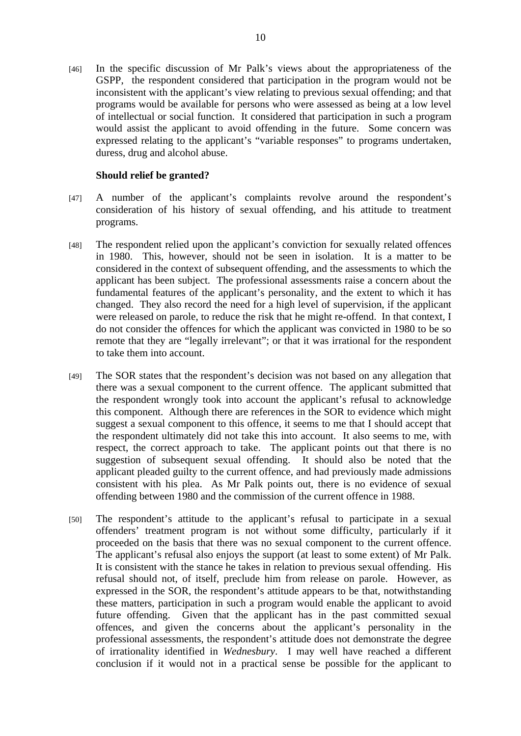[46] In the specific discussion of Mr Palk's views about the appropriateness of the GSPP, the respondent considered that participation in the program would not be inconsistent with the applicant's view relating to previous sexual offending; and that programs would be available for persons who were assessed as being at a low level of intellectual or social function. It considered that participation in such a program would assist the applicant to avoid offending in the future. Some concern was expressed relating to the applicant's "variable responses" to programs undertaken, duress, drug and alcohol abuse.

### **Should relief be granted?**

- [47] A number of the applicant's complaints revolve around the respondent's consideration of his history of sexual offending, and his attitude to treatment programs.
- [48] The respondent relied upon the applicant's conviction for sexually related offences in 1980. This, however, should not be seen in isolation. It is a matter to be considered in the context of subsequent offending, and the assessments to which the applicant has been subject. The professional assessments raise a concern about the fundamental features of the applicant's personality, and the extent to which it has changed. They also record the need for a high level of supervision, if the applicant were released on parole, to reduce the risk that he might re-offend. In that context, I do not consider the offences for which the applicant was convicted in 1980 to be so remote that they are "legally irrelevant"; or that it was irrational for the respondent to take them into account.
- [49] The SOR states that the respondent's decision was not based on any allegation that there was a sexual component to the current offence. The applicant submitted that the respondent wrongly took into account the applicant's refusal to acknowledge this component. Although there are references in the SOR to evidence which might suggest a sexual component to this offence, it seems to me that I should accept that the respondent ultimately did not take this into account. It also seems to me, with respect, the correct approach to take. The applicant points out that there is no suggestion of subsequent sexual offending. It should also be noted that the applicant pleaded guilty to the current offence, and had previously made admissions consistent with his plea. As Mr Palk points out, there is no evidence of sexual offending between 1980 and the commission of the current offence in 1988.
- [50] The respondent's attitude to the applicant's refusal to participate in a sexual offenders' treatment program is not without some difficulty, particularly if it proceeded on the basis that there was no sexual component to the current offence. The applicant's refusal also enjoys the support (at least to some extent) of Mr Palk. It is consistent with the stance he takes in relation to previous sexual offending. His refusal should not, of itself, preclude him from release on parole. However, as expressed in the SOR, the respondent's attitude appears to be that, notwithstanding these matters, participation in such a program would enable the applicant to avoid future offending. Given that the applicant has in the past committed sexual offences, and given the concerns about the applicant's personality in the professional assessments, the respondent's attitude does not demonstrate the degree of irrationality identified in *Wednesbury*. I may well have reached a different conclusion if it would not in a practical sense be possible for the applicant to